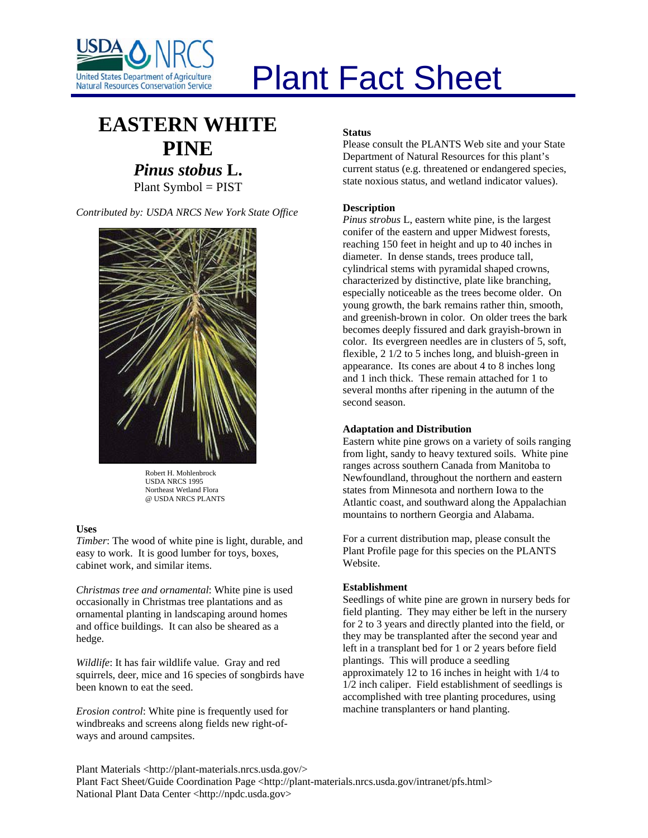

# Plant Fact Sheet

# **EASTERN WHITE PINE** *Pinus stobus* **L.** Plant Symbol = PIST

*Contributed by: USDA NRCS New York State Office* 



Robert H. Mohlenbrock USDA NRCS 1995 Northeast Wetland Flora @ USDA NRCS PLANTS

# **Uses**

*Timber*: The wood of white pine is light, durable, and easy to work. It is good lumber for toys, boxes, cabinet work, and similar items.

*Christmas tree and ornamental*: White pine is used occasionally in Christmas tree plantations and as ornamental planting in landscaping around homes and office buildings. It can also be sheared as a hedge.

*Wildlife*: It has fair wildlife value. Gray and red squirrels, deer, mice and 16 species of songbirds have been known to eat the seed.

*Erosion control*: White pine is frequently used for windbreaks and screens along fields new right-ofways and around campsites.

# **Status**

Please consult the PLANTS Web site and your State Department of Natural Resources for this plant's current status (e.g. threatened or endangered species, state noxious status, and wetland indicator values).

# **Description**

*Pinus strobus* L, eastern white pine, is the largest conifer of the eastern and upper Midwest forests, reaching 150 feet in height and up to 40 inches in diameter. In dense stands, trees produce tall, cylindrical stems with pyramidal shaped crowns, characterized by distinctive, plate like branching, especially noticeable as the trees become older. On young growth, the bark remains rather thin, smooth, and greenish-brown in color. On older trees the bark becomes deeply fissured and dark grayish-brown in color. Its evergreen needles are in clusters of 5, soft, flexible, 2 1/2 to 5 inches long, and bluish-green in appearance. Its cones are about 4 to 8 inches long and 1 inch thick. These remain attached for 1 to several months after ripening in the autumn of the second season.

#### **Adaptation and Distribution**

Eastern white pine grows on a variety of soils ranging from light, sandy to heavy textured soils. White pine ranges across southern Canada from Manitoba to Newfoundland, throughout the northern and eastern states from Minnesota and northern Iowa to the Atlantic coast, and southward along the Appalachian mountains to northern Georgia and Alabama.

For a current distribution map, please consult the Plant Profile page for this species on the PLANTS Website.

#### **Establishment**

Seedlings of white pine are grown in nursery beds for field planting. They may either be left in the nursery for 2 to 3 years and directly planted into the field, or they may be transplanted after the second year and left in a transplant bed for 1 or 2 years before field plantings. This will produce a seedling approximately 12 to 16 inches in height with 1/4 to 1/2 inch caliper. Field establishment of seedlings is accomplished with tree planting procedures, using machine transplanters or hand planting.

Plant Materials <http://plant-materials.nrcs.usda.gov/> Plant Fact Sheet/Guide Coordination Page <http://plant-materials.nrcs.usda.gov/intranet/pfs.html> National Plant Data Center <http://npdc.usda.gov>